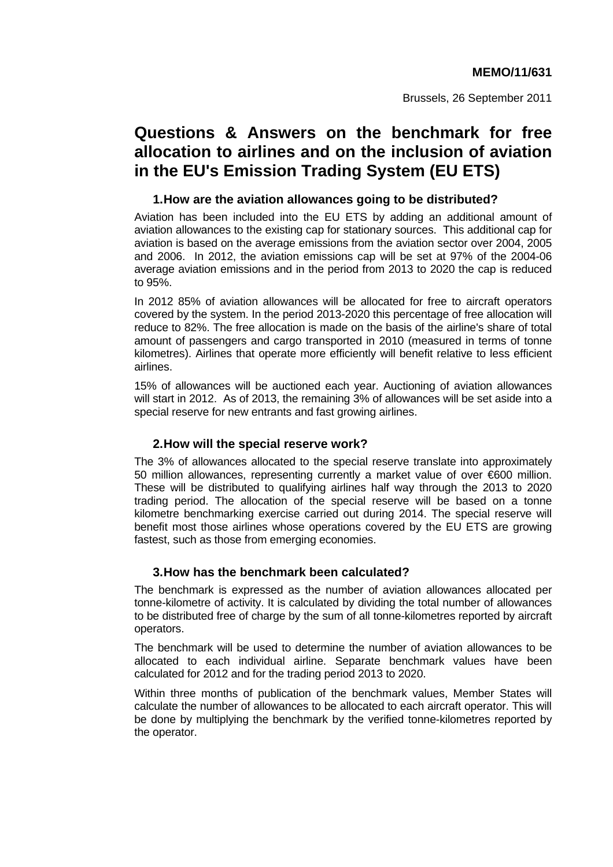Brussels, 26 September 2011

# **Questions & Answers on the benchmark for free allocation to airlines and on the inclusion of aviation in the EU's Emission Trading System (EU ETS)**

#### **1. How are the aviation allowances going to be distributed?**

Aviation has been included into the EU ETS by adding an additional amount of aviation allowances to the existing cap for stationary sources. This additional cap for aviation is based on the average emissions from the aviation sector over 2004, 2005 and 2006. In 2012, the aviation emissions cap will be set at 97% of the 2004-06 average aviation emissions and in the period from 2013 to 2020 the cap is reduced to 95%.

In 2012 85% of aviation allowances will be allocated for free to aircraft operators covered by the system. In the period 2013-2020 this percentage of free allocation will reduce to 82%. The free allocation is made on the basis of the airline's share of total amount of passengers and cargo transported in 2010 (measured in terms of tonne kilometres). Airlines that operate more efficiently will benefit relative to less efficient airlines.

15% of allowances will be auctioned each year. Auctioning of aviation allowances will start in 2012. As of 2013, the remaining 3% of allowances will be set aside into a special reserve for new entrants and fast growing airlines.

## **2. How will the special reserve work?**

The 3% of allowances allocated to the special reserve translate into approximately 50 million allowances, representing currently a market value of over €600 million. These will be distributed to qualifying airlines half way through the 2013 to 2020 trading period. The allocation of the special reserve will be based on a tonne kilometre benchmarking exercise carried out during 2014. The special reserve will benefit most those airlines whose operations covered by the EU ETS are growing fastest, such as those from emerging economies.

## **3. How has the benchmark been calculated?**

The benchmark is expressed as the number of aviation allowances allocated per tonne-kilometre of activity. It is calculated by dividing the total number of allowances to be distributed free of charge by the sum of all tonne-kilometres reported by aircraft operators.

The benchmark will be used to determine the number of aviation allowances to be allocated to each individual airline. Separate benchmark values have been calculated for 2012 and for the trading period 2013 to 2020.

Within three months of publication of the benchmark values, Member States will calculate the number of allowances to be allocated to each aircraft operator. This will be done by multiplying the benchmark by the verified tonne-kilometres reported by the operator.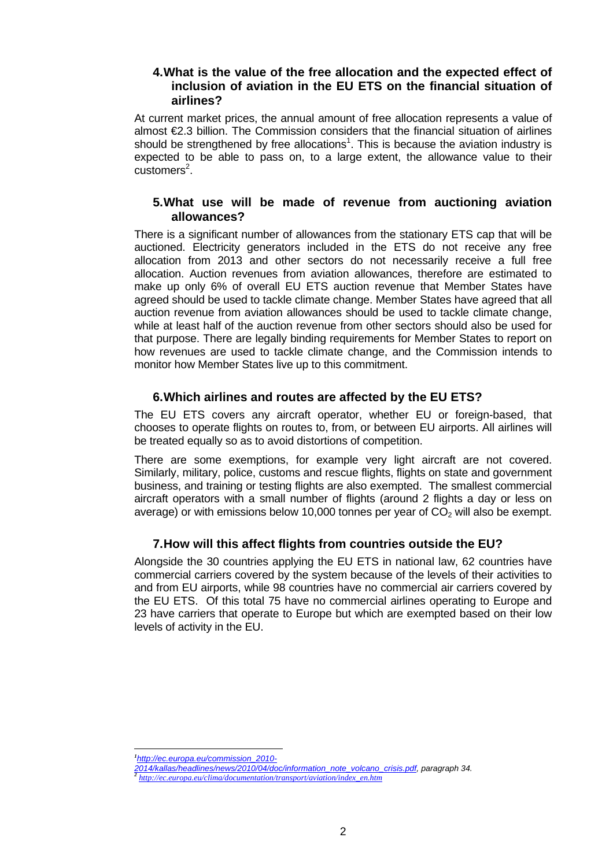## **4. What is the value of the free allocation and the expected effect of inclusion of aviation in the EU ETS on the financial situation of airlines?**

At current market prices, the annual amount of free allocation represents a value of almost  $E.3$  billion. The Commission considers that the financial situation of airlines should be strengthened by free allocations<sup>1</sup>. This is because the aviation industry is expected to be able to pass on, to a large extent, the allowance value to their customers<sup>2</sup>.

# **5. What use will be made of revenue from auctioning aviation allowances?**

There is a significant number of allowances from the stationary ETS cap that will be auctioned. Electricity generators included in the ETS do not receive any free allocation from 2013 and other sectors do not necessarily receive a full free allocation. Auction revenues from aviation allowances, therefore are estimated to make up only 6% of overall EU ETS auction revenue that Member States have agreed should be used to tackle climate change. Member States have agreed that all auction revenue from aviation allowances should be used to tackle climate change, while at least half of the auction revenue from other sectors should also be used for that purpose. There are legally binding requirements for Member States to report on how revenues are used to tackle climate change, and the Commission intends to monitor how Member States live up to this commitment.

# **6. Which airlines and routes are affected by the EU ETS?**

The EU ETS covers any aircraft operator, whether EU or foreign-based, that chooses to operate flights on routes to, from, or between EU airports. All airlines will be treated equally so as to avoid distortions of competition.

There are some exemptions, for example very light aircraft are not covered. Similarly, military, police, customs and rescue flights, flights on state and government business, and training or testing flights are also exempted. The smallest commercial aircraft operators with a small number of flights (around 2 flights a day or less on average) or with emissions below 10,000 tonnes per year of  $CO<sub>2</sub>$  will also be exempt.

# **7. How will this affect flights from countries outside the EU?**

Alongside the 30 countries applying the EU ETS in national law, 62 countries have commercial carriers covered by the system because of the levels of their activities to and from EU airports, while 98 countries have no commercial air carriers covered by the EU ETS. Of this total 75 have no commercial airlines operating to Europe and 23 have carriers that operate to Europe but which are exempted based on their low levels of activity in the EU.

 $\overline{a}$ *1 [http://ec.europa.eu/commission\\_2010-](http://ec.europa.eu/commission_2010-2014/kallas/headlines/news/2010/04/doc/information_note_volcano_crisis.pdf)*

*[<sup>2014/</sup>kallas/headlines/news/2010/04/doc/information\\_note\\_volcano\\_crisis.pdf,](http://ec.europa.eu/commission_2010-2014/kallas/headlines/news/2010/04/doc/information_note_volcano_crisis.pdf) paragraph 34. <sup>2</sup> [http://ec.europa.eu/clima/documentation/transport/aviation/index\\_en.htm](http://ec.europa.eu/clima/documentation/transport/aviation/index_en.htm)*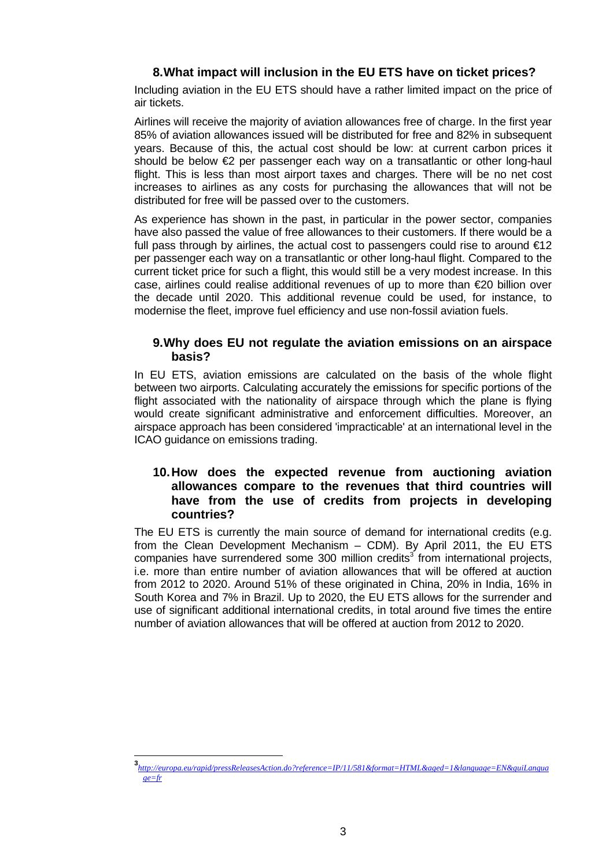# **8. What impact will inclusion in the EU ETS have on ticket prices?**

Including aviation in the EU ETS should have a rather limited impact on the price of air tickets.

Airlines will receive the majority of aviation allowances free of charge. In the first year 85% of aviation allowances issued will be distributed for free and 82% in subsequent years. Because of this, the actual cost should be low: at current carbon prices it should be below €2 per passenger each way on a transatlantic or other long-haul flight. This is less than most airport taxes and charges. There will be no net cost increases to airlines as any costs for purchasing the allowances that will not be distributed for free will be passed over to the customers.

As experience has shown in the past, in particular in the power sector, companies have also passed the value of free allowances to their customers. If there would be a full pass through by airlines, the actual cost to passengers could rise to around  $\epsilon$ 12 per passenger each way on a transatlantic or other long-haul flight. Compared to the current ticket price for such a flight, this would still be a very modest increase. In this case, airlines could realise additional revenues of up to more than €20 billion over the decade until 2020. This additional revenue could be used, for instance, to modernise the fleet, improve fuel efficiency and use non-fossil aviation fuels.

## **9. Why does EU not regulate the aviation emissions on an airspace basis?**

In EU ETS, aviation emissions are calculated on the basis of the whole flight between two airports. Calculating accurately the emissions for specific portions of the flight associated with the nationality of airspace through which the plane is flying would create significant administrative and enforcement difficulties. Moreover, an airspace approach has been considered 'impracticable' at an international level in the ICAO guidance on emissions trading.

## **10. How does the expected revenue from auctioning aviation allowances compare to the revenues that third countries will have from the use of credits from projects in developing countries?**

The EU ETS is currently the main source of demand for international credits (e.g. from the Clean Development Mechanism – CDM). By April 2011, the EU ETS companies have surrendered some 300 million credits $3$  from international projects, i.e. more than entire number of aviation allowances that will be offered at auction from 2012 to 2020. Around 51% of these originated in China, 20% in India, 16% in South Korea and 7% in Brazil. Up to 2020, the EU ETS allows for the surrender and use of significant additional international credits, in total around five times the entire number of aviation allowances that will be offered at auction from 2012 to 2020.

 **3** *[http://europa.eu/rapid/pressReleasesAction.do?reference=IP/11/581&format=HTML&aged=1&language=EN&guiLangua](http://europa.eu/rapid/pressReleasesAction.do?reference=IP/11/581&format=HTML&aged=1&language=EN&guiLanguage=fr) [ge=fr](http://europa.eu/rapid/pressReleasesAction.do?reference=IP/11/581&format=HTML&aged=1&language=EN&guiLanguage=fr)*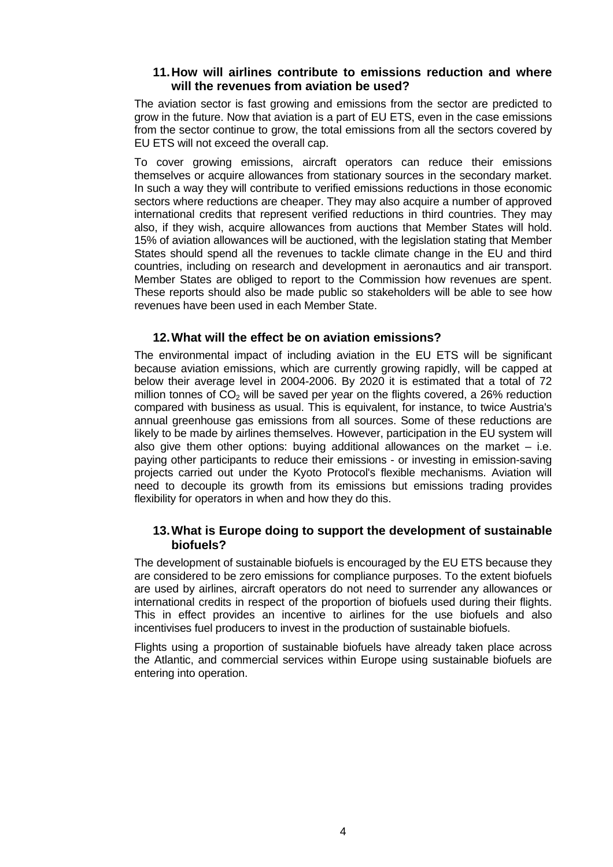## **11. How will airlines contribute to emissions reduction and where will the revenues from aviation be used?**

The aviation sector is fast growing and emissions from the sector are predicted to grow in the future. Now that aviation is a part of EU ETS, even in the case emissions from the sector continue to grow, the total emissions from all the sectors covered by EU ETS will not exceed the overall cap.

To cover growing emissions, aircraft operators can reduce their emissions themselves or acquire allowances from stationary sources in the secondary market. In such a way they will contribute to verified emissions reductions in those economic sectors where reductions are cheaper. They may also acquire a number of approved international credits that represent verified reductions in third countries. They may also, if they wish, acquire allowances from auctions that Member States will hold. 15% of aviation allowances will be auctioned, with the legislation stating that Member States should spend all the revenues to tackle climate change in the EU and third countries, including on research and development in aeronautics and air transport. Member States are obliged to report to the Commission how revenues are spent. These reports should also be made public so stakeholders will be able to see how revenues have been used in each Member State.

#### **12. What will the effect be on aviation emissions?**

The environmental impact of including aviation in the EU ETS will be significant because aviation emissions, which are currently growing rapidly, will be capped at below their average level in 2004-2006. By 2020 it is estimated that a total of 72 million tonnes of  $CO<sub>2</sub>$  will be saved per year on the flights covered, a 26% reduction compared with business as usual. This is equivalent, for instance, to twice Austria's annual greenhouse gas emissions from all sources. Some of these reductions are likely to be made by airlines themselves. However, participation in the EU system will also give them other options: buying additional allowances on the market  $-$  i.e. paying other participants to reduce their emissions - or investing in emission-saving projects carried out under the Kyoto Protocol's flexible mechanisms. Aviation will need to decouple its growth from its emissions but emissions trading provides flexibility for operators in when and how they do this.

# **13. What is Europe doing to support the development of sustainable biofuels?**

The development of sustainable biofuels is encouraged by the EU ETS because they are considered to be zero emissions for compliance purposes. To the extent biofuels are used by airlines, aircraft operators do not need to surrender any allowances or international credits in respect of the proportion of biofuels used during their flights. This in effect provides an incentive to airlines for the use biofuels and also incentivises fuel producers to invest in the production of sustainable biofuels.

Flights using a proportion of sustainable biofuels have already taken place across the Atlantic, and commercial services within Europe using sustainable biofuels are entering into operation.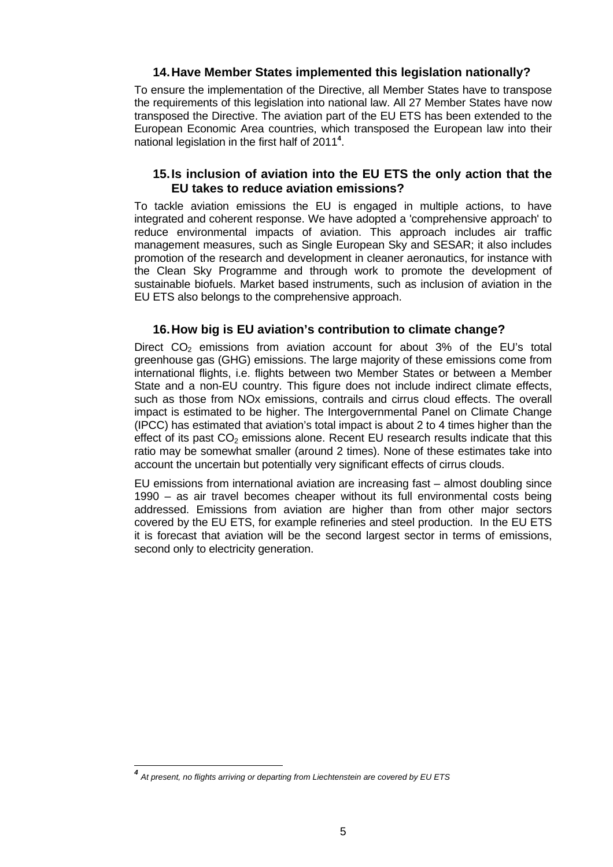## **14. Have Member States implemented this legislation nationally?**

To ensure the implementation of the Directive, all Member States have to transpose the requirements of this legislation into national law. All 27 Member States have now transposed the Directive. The aviation part of the EU ETS has been extended to the European Economic Area countries, which transposed the European law into their national legislation in the first half of 2011**<sup>4</sup>** .

# **15. Is inclusion of aviation into the EU ETS the only action that the EU takes to reduce aviation emissions?**

To tackle aviation emissions the EU is engaged in multiple actions, to have integrated and coherent response. We have adopted a 'comprehensive approach' to reduce environmental impacts of aviation. This approach includes air traffic management measures, such as Single European Sky and SESAR; it also includes promotion of the research and development in cleaner aeronautics, for instance with the Clean Sky Programme and through work to promote the development of sustainable biofuels. Market based instruments, such as inclusion of aviation in the EU ETS also belongs to the comprehensive approach.

# **16. How big is EU aviation's contribution to climate change?**

Direct  $CO<sub>2</sub>$  emissions from aviation account for about 3% of the EU's total greenhouse gas (GHG) emissions. The large majority of these emissions come from international flights, i.e. flights between two Member States or between a Member State and a non-EU country. This figure does not include indirect climate effects, such as those from NOx emissions, contrails and cirrus cloud effects. The overall impact is estimated to be higher. The Intergovernmental Panel on Climate Change (IPCC) has estimated that aviation's total impact is about 2 to 4 times higher than the effect of its past  $CO<sub>2</sub>$  emissions alone. Recent EU research results indicate that this ratio may be somewhat smaller (around 2 times). None of these estimates take into account the uncertain but potentially very significant effects of cirrus clouds.

EU emissions from international aviation are increasing fast – almost doubling since 1990 – as air travel becomes cheaper without its full environmental costs being addressed. Emissions from aviation are higher than from other major sectors covered by the EU ETS, for example refineries and steel production. In the EU ETS it is forecast that aviation will be the second largest sector in terms of emissions, second only to electricity generation.

 $\overline{a}$ 

*<sup>4</sup> At present, no flights arriving or departing from Liechtenstein are covered by EU ETS*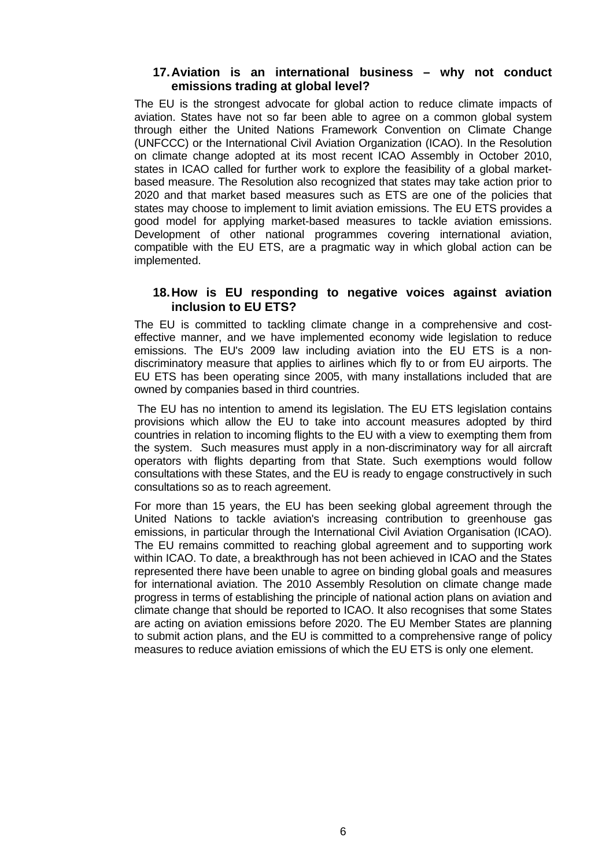## **17. Aviation is an international business – why not conduct emissions trading at global level?**

The EU is the strongest advocate for global action to reduce climate impacts of aviation. States have not so far been able to agree on a common global system through either the United Nations Framework Convention on Climate Change (UNFCCC) or the International Civil Aviation Organization (ICAO). In the Resolution on climate change adopted at its most recent ICAO Assembly in October 2010, states in ICAO called for further work to explore the feasibility of a global marketbased measure. The Resolution also recognized that states may take action prior to 2020 and that market based measures such as ETS are one of the policies that states may choose to implement to limit aviation emissions. The EU ETS provides a good model for applying market-based measures to tackle aviation emissions. Development of other national programmes covering international aviation, compatible with the EU ETS, are a pragmatic way in which global action can be implemented.

## **18. How is EU responding to negative voices against aviation inclusion to EU ETS?**

The EU is committed to tackling climate change in a comprehensive and costeffective manner, and we have implemented economy wide legislation to reduce emissions. The EU's 2009 law including aviation into the EU ETS is a nondiscriminatory measure that applies to airlines which fly to or from EU airports. The EU ETS has been operating since 2005, with many installations included that are owned by companies based in third countries.

 The EU has no intention to amend its legislation. The EU ETS legislation contains provisions which allow the EU to take into account measures adopted by third countries in relation to incoming flights to the EU with a view to exempting them from the system. Such measures must apply in a non-discriminatory way for all aircraft operators with flights departing from that State. Such exemptions would follow consultations with these States, and the EU is ready to engage constructively in such consultations so as to reach agreement.

For more than 15 years, the EU has been seeking global agreement through the United Nations to tackle aviation's increasing contribution to greenhouse gas emissions, in particular through the International Civil Aviation Organisation (ICAO). The EU remains committed to reaching global agreement and to supporting work within ICAO. To date, a breakthrough has not been achieved in ICAO and the States represented there have been unable to agree on binding global goals and measures for international aviation. The 2010 Assembly Resolution on climate change made progress in terms of establishing the principle of national action plans on aviation and climate change that should be reported to ICAO. It also recognises that some States are acting on aviation emissions before 2020. The EU Member States are planning to submit action plans, and the EU is committed to a comprehensive range of policy measures to reduce aviation emissions of which the EU ETS is only one element.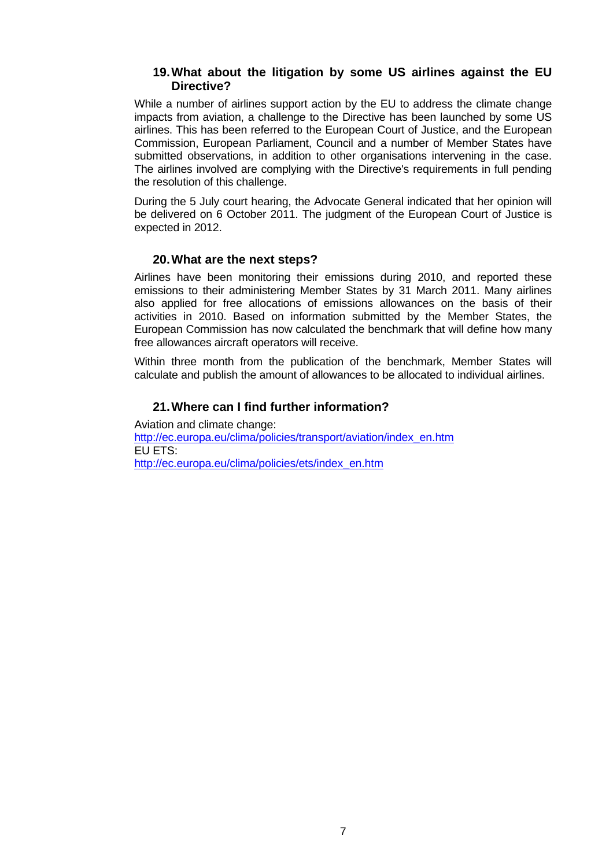## **19. What about the litigation by some US airlines against the EU Directive?**

While a number of airlines support action by the EU to address the climate change impacts from aviation, a challenge to the Directive has been launched by some US airlines. This has been referred to the European Court of Justice, and the European Commission, European Parliament, Council and a number of Member States have submitted observations, in addition to other organisations intervening in the case. The airlines involved are complying with the Directive's requirements in full pending the resolution of this challenge.

During the 5 July court hearing, the Advocate General indicated that her opinion will be delivered on 6 October 2011. The judgment of the European Court of Justice is expected in 2012.

#### **20. What are the next steps?**

Airlines have been monitoring their emissions during 2010, and reported these emissions to their administering Member States by 31 March 2011. Many airlines also applied for free allocations of emissions allowances on the basis of their activities in 2010. Based on information submitted by the Member States, the European Commission has now calculated the benchmark that will define how many free allowances aircraft operators will receive.

Within three month from the publication of the benchmark, Member States will calculate and publish the amount of allowances to be allocated to individual airlines.

## **21. Where can I find further information?**

Aviation and climate change: [http://ec.europa.eu/clima/policies/transport/aviation/index\\_en.htm](http://ec.europa.eu/clima/policies/transport/aviation/index_en.htm) EU ETS: [http://ec.europa.eu/clima/policies/ets/index\\_en.htm](http://ec.europa.eu/clima/policies/ets/index_en.htm)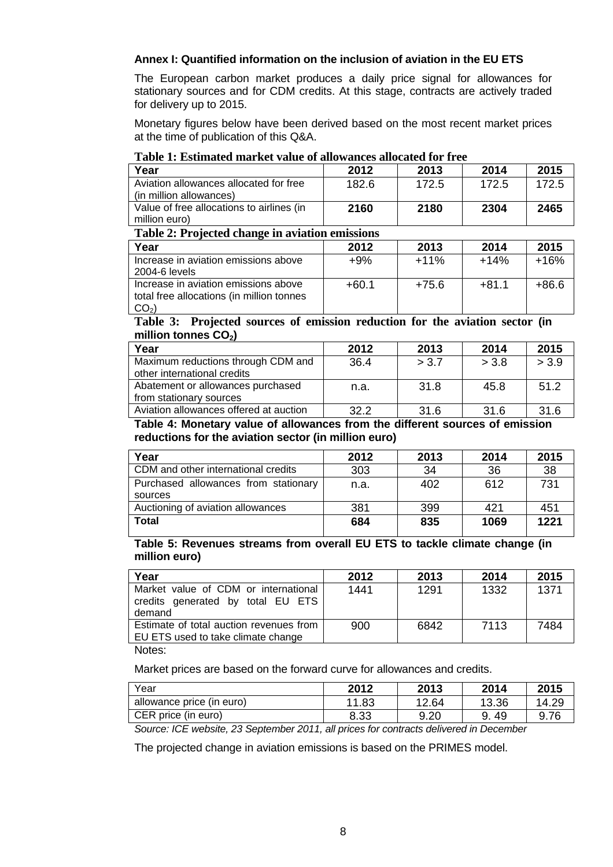## **Annex I: Quantified information on the inclusion of aviation in the EU ETS**

The European carbon market produces a daily price signal for allowances for stationary sources and for CDM credits. At this stage, contracts are actively traded for delivery up to 2015.

Monetary figures below have been derived based on the most recent market prices at the time of publication of this Q&A.

| Year                                            | 2012  | 2013  | 2014  | 2015  |
|-------------------------------------------------|-------|-------|-------|-------|
| Aviation allowances allocated for free          | 182.6 | 172.5 | 172.5 | 172.5 |
| (in million allowances)                         |       |       |       |       |
| Value of free allocations to airlines (in       | 2160  | 2180  | 2304  | 2465  |
| million euro)                                   |       |       |       |       |
| Table 2: Projected change in aviation emissions |       |       |       |       |

#### **Table 1: Estimated market value of allowances allocated for free**

| Table 2: Projected change in aviation emissions                                   |         |         |         |        |
|-----------------------------------------------------------------------------------|---------|---------|---------|--------|
| Year                                                                              | 2012    | 2013    | 2014    | 2015   |
| Increase in aviation emissions above<br>2004-6 levels                             | $+9%$   | $+11%$  | $+14%$  | $+16%$ |
| Increase in aviation emissions above<br>total free allocations (in million tonnes | $+60.1$ | $+75.6$ | $+81.1$ | +86.6  |

**Table 3: Projected sources of emission reduction for the aviation sector (in**  million tonnes CO<sub>2</sub>)

| Year                                                              | 2012 | 2013  | 2014  | 2015  |
|-------------------------------------------------------------------|------|-------|-------|-------|
| Maximum reductions through CDM and<br>other international credits | 36.4 | > 3.7 | > 3.8 | > 3.9 |
| Abatement or allowances purchased<br>from stationary sources      | n.a. | 31.8  | 45.8  | 51.2  |
| Aviation allowances offered at auction                            | 32.2 | 31.6  | 31.6  | 31.6  |

#### **Table 4: Monetary value of allowances from the different sources of emission reductions for the aviation sector (in million euro)**

| Year                                            | 2012 | 2013 | 2014 | 2015 |
|-------------------------------------------------|------|------|------|------|
| CDM and other international credits             | 303  | 34   | 36   | 38   |
| Purchased allowances from stationary<br>sources | n.a. | 402  | 612  | 731  |
| Auctioning of aviation allowances               | 381  | 399  | 421  | 451  |
| <b>Total</b>                                    | 684  | 835  | 1069 | 1221 |

**Table 5: Revenues streams from overall EU ETS to tackle climate change (in million euro)** 

| Year                                                                                | 2012 | 2013 | 2014 | 2015 |
|-------------------------------------------------------------------------------------|------|------|------|------|
| Market value of CDM or international<br>credits generated by total EU ETS<br>demand | 1441 | 1291 | 1332 | 1371 |
| Estimate of total auction revenues from<br>EU ETS used to take climate change       | 900  | 6842 | 7113 | 7484 |

Notes:

 $|CO<sub>2</sub>\rangle$ 

Market prices are based on the forward curve for allowances and credits.

| Year                      | 2012  | 2013  | 2014      | 2015  |
|---------------------------|-------|-------|-----------|-------|
| allowance price (in euro) | 11.83 | 12.64 | 13.36     | 14.29 |
| CER price (in euro)       | 8.33  | 9.20  | -49<br>9. | 9.76  |

*Source: ICE website, 23 September 2011, all prices for contracts delivered in December* 

The projected change in aviation emissions is based on the PRIMES model.